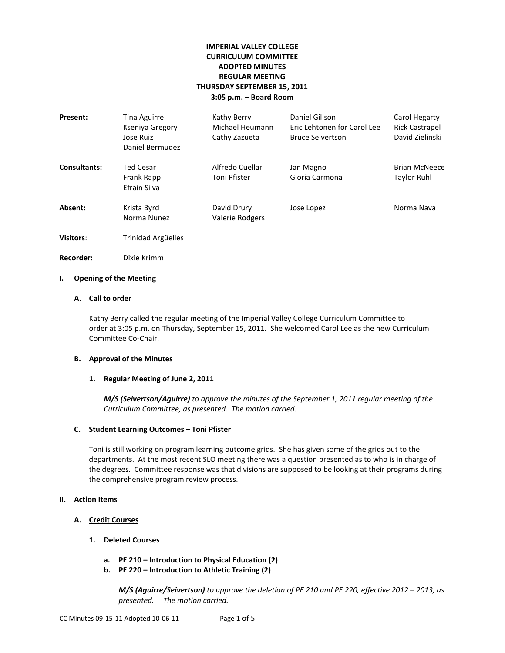# **IMPERIAL VALLEY COLLEGE CURRICULUM COMMITTEE ADOPTED MINUTES REGULAR MEETING THURSDAY SEPTEMBER 15, 2011 3:05 p.m. – Board Room**

| Present:         | Tina Aguirre<br>Kseniya Gregory<br>Jose Ruiz<br>Daniel Bermudez | Kathy Berry<br>Michael Heumann<br>Cathy Zazueta | Daniel Gilison<br>Eric Lehtonen for Carol Lee<br><b>Bruce Seivertson</b> | Carol Hegarty<br><b>Rick Castrapel</b><br>David Zielinski |
|------------------|-----------------------------------------------------------------|-------------------------------------------------|--------------------------------------------------------------------------|-----------------------------------------------------------|
| Consultants:     | <b>Ted Cesar</b><br>Frank Rapp<br>Efrain Silva                  | Alfredo Cuellar<br>Toni Pfister                 | Jan Magno<br>Gloria Carmona                                              | <b>Brian McNeece</b><br>Taylor Ruhl                       |
| Absent:          | Krista Byrd<br>Norma Nunez                                      | David Drury<br>Valerie Rodgers                  | Jose Lopez                                                               | Norma Nava                                                |
| <b>Visitors:</b> | Trinidad Argüelles                                              |                                                 |                                                                          |                                                           |

**Recorder:** Dixie Krimm

### **I. Opening of the Meeting**

### **A. Call to order**

Kathy Berry called the regular meeting of the Imperial Valley College Curriculum Committee to order at 3:05 p.m. on Thursday, September 15, 2011. She welcomed Carol Lee as the new Curriculum Committee Co-Chair.

## **B. Approval of the Minutes**

### **1. Regular Meeting of June 2, 2011**

*M/S (Seivertson/Aguirre) to approve the minutes of the September 1, 2011 regular meeting of the Curriculum Committee, as presented. The motion carried.*

### **C. Student Learning Outcomes – Toni Pfister**

Toni is still working on program learning outcome grids. She has given some of the grids out to the departments. At the most recent SLO meeting there was a question presented as to who is in charge of the degrees. Committee response was that divisions are supposed to be looking at their programs during the comprehensive program review process.

### **II. Action Items**

# **A. Credit Courses**

- **1. Deleted Courses**
	- **a. PE 210 – Introduction to Physical Education (2)**
	- **b. PE 220 – Introduction to Athletic Training (2)**

*M/S (Aguirre/Seivertson) to approve the deletion of PE 210 and PE 220, effective 2012 – 2013, as presented. The motion carried.*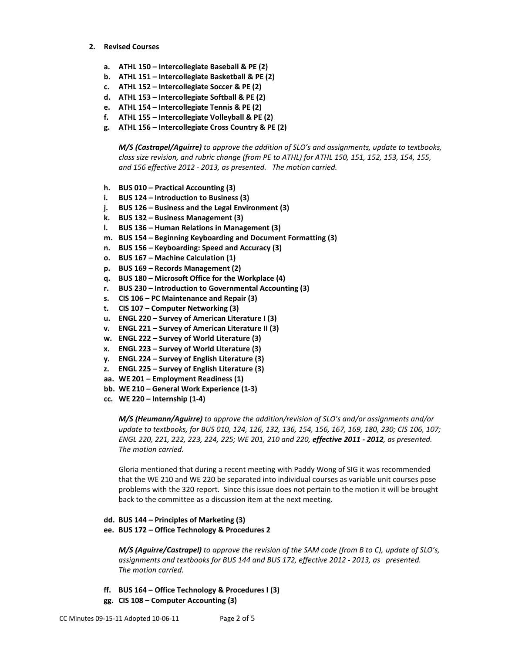- **2. Revised Courses**
	- **a. ATHL 150 – Intercollegiate Baseball & PE (2)**
	- **b. ATHL 151 – Intercollegiate Basketball & PE (2)**
	- **c. ATHL 152 – Intercollegiate Soccer & PE (2)**
	- **d. ATHL 153 – Intercollegiate Softball & PE (2)**
	- **e. ATHL 154 – Intercollegiate Tennis & PE (2)**
	- **f. ATHL 155 – Intercollegiate Volleyball & PE (2)**
	- **g. ATHL 156 – Intercollegiate Cross Country & PE (2)**

*M/S (Castrapel/Aguirre) to approve the addition of SLO's and assignments, update to textbooks, class size revision, and rubric change (from PE to ATHL) for ATHL 150, 151, 152, 153, 154, 155, and 156 effective 2012 - 2013, as presented. The motion carried.*

- **h. BUS 010 – Practical Accounting (3)**
- **i. BUS 124 – Introduction to Business (3)**
- **j. BUS 126 – Business and the Legal Environment (3)**
- **k. BUS 132 – Business Management (3)**
- **l. BUS 136 – Human Relations in Management (3)**
- **m. BUS 154 – Beginning Keyboarding and Document Formatting (3)**
- **n. BUS 156 – Keyboarding: Speed and Accuracy (3)**
- **o. BUS 167 – Machine Calculation (1)**
- **p. BUS 169 – Records Management (2)**
- **q. BUS 180 – Microsoft Office for the Workplace (4)**
- **r. BUS 230 – Introduction to Governmental Accounting (3)**
- **s. CIS 106 – PC Maintenance and Repair (3)**
- **t. CIS 107 – Computer Networking (3)**
- **u. ENGL 220 – Survey of American Literature I (3)**
- **v. ENGL 221 – Survey of American Literature II (3)**
- **w. ENGL 222 – Survey of World Literature (3)**
- **x. ENGL 223 – Survey of World Literature (3)**
- **y. ENGL 224 – Survey of English Literature (3)**
- **z. ENGL 225 – Survey of English Literature (3)**
- **aa. WE 201 – Employment Readiness (1)**
- **bb. WE 210 – General Work Experience (1-3)**
- **cc. WE 220 – Internship (1-4)**

*M/S (Heumann/Aguirre) to approve the addition/revision of SLO's and/or assignments and/or update to textbooks, for BUS 010, 124, 126, 132, 136, 154, 156, 167, 169, 180, 230; CIS 106, 107; ENGL 220, 221, 222, 223, 224, 225; WE 201, 210 and 220, effective 2011 - 2012, as presented. The motion carried.*

Gloria mentioned that during a recent meeting with Paddy Wong of SIG it was recommended that the WE 210 and WE 220 be separated into individual courses as variable unit courses pose problems with the 320 report. Since this issue does not pertain to the motion it will be brought back to the committee as a discussion item at the next meeting.

#### **dd. BUS 144 – Principles of Marketing (3)**

### **ee. BUS 172 – Office Technology & Procedures 2**

*M/S (Aguirre/Castrapel) to approve the revision of the SAM code (from B to C), update of SLO's, assignments and textbooks for BUS 144 and BUS 172, effective 2012 - 2013, as presented. The motion carried.*

- **ff. BUS 164 – Office Technology & Procedures I (3)**
- **gg. CIS 108 – Computer Accounting (3)**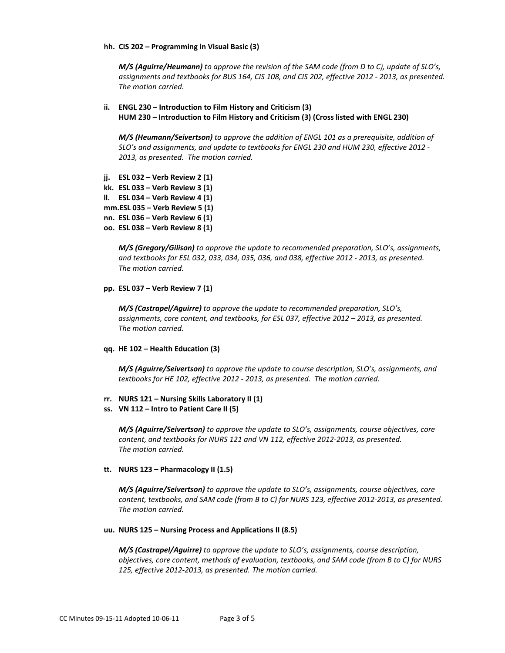#### **hh. CIS 202 – Programming in Visual Basic (3)**

*M/S (Aguirre/Heumann) to approve the revision of the SAM code (from D to C), update of SLO's, assignments and textbooks for BUS 164, CIS 108, and CIS 202, effective 2012 - 2013, as presented. The motion carried.*

### **ii. ENGL 230 – Introduction to Film History and Criticism (3) HUM 230 – Introduction to Film History and Criticism (3) (Cross listed with ENGL 230)**

*M/S (Heumann/Seivertson) to approve the addition of ENGL 101 as a prerequisite, addition of SLO's and assignments, and update to textbooks for ENGL 230 and HUM 230, effective 2012 - 2013, as presented. The motion carried.*

- **jj. ESL 032 – Verb Review 2 (1)**
- **kk. ESL 033 – Verb Review 3 (1)**
- **ll. ESL 034 – Verb Review 4 (1)**
- **mm.ESL 035 – Verb Review 5 (1)**
- **nn. ESL 036 – Verb Review 6 (1)**
- **oo. ESL 038 – Verb Review 8 (1)**

*M/S (Gregory/Gilison) to approve the update to recommended preparation, SLO's, assignments, and textbooks for ESL 032, 033, 034, 035, 036, and 038, effective 2012 - 2013, as presented. The motion carried.*

#### **pp. ESL 037 – Verb Review 7 (1)**

*M/S (Castrapel/Aguirre) to approve the update to recommended preparation, SLO's, assignments, core content, and textbooks, for ESL 037, effective 2012 – 2013, as presented. The motion carried.*

#### **qq. HE 102 – Health Education (3)**

*M/S (Aguirre/Seivertson) to approve the update to course description, SLO's, assignments, and textbooks for HE 102, effective 2012 - 2013, as presented. The motion carried.*

- **rr. NURS 121 – Nursing Skills Laboratory II (1)**
- **ss. VN 112 – Intro to Patient Care II (5)**

*M/S (Aguirre/Seivertson) to approve the update to SLO's, assignments, course objectives, core content, and textbooks for NURS 121 and VN 112, effective 2012-2013, as presented. The motion carried.*

### **tt. NURS 123 – Pharmacology II (1.5)**

*M/S (Aguirre/Seivertson) to approve the update to SLO's, assignments, course objectives, core content, textbooks, and SAM code (from B to C) for NURS 123, effective 2012-2013, as presented. The motion carried.*

#### **uu. NURS 125 – Nursing Process and Applications II (8.5)**

*M/S (Castrapel/Aguirre) to approve the update to SLO's, assignments, course description, objectives, core content, methods of evaluation, textbooks, and SAM code (from B to C) for NURS 125, effective 2012-2013, as presented. The motion carried.*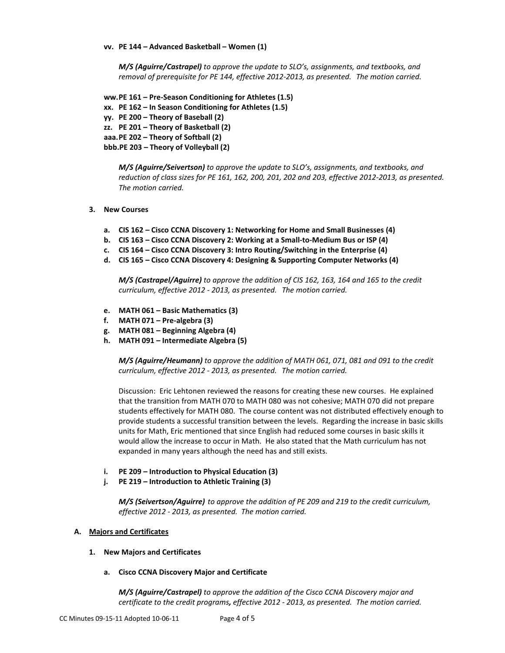#### **vv. PE 144 – Advanced Basketball – Women (1)**

*M/S (Aguirre/Castrapel) to approve the update to SLO's, assignments, and textbooks, and removal of prerequisite for PE 144, effective 2012-2013, as presented. The motion carried.*

**ww.PE 161 – Pre-Season Conditioning for Athletes (1.5)**

**xx. PE 162 – In Season Conditioning for Athletes (1.5)**

**yy. PE 200 – Theory of Baseball (2)**

**zz. PE 201 – Theory of Basketball (2)**

**aaa.PE 202 – Theory of Softball (2)**

**bbb.PE 203 – Theory of Volleyball (2)**

*M/S (Aguirre/Seivertson) to approve the update to SLO's, assignments, and textbooks, and reduction of class sizes for PE 161, 162, 200, 201, 202 and 203, effective 2012-2013, as presented. The motion carried.*

### **3. New Courses**

- **a. CIS 162 – Cisco CCNA Discovery 1: Networking for Home and Small Businesses (4)**
- **b. CIS 163 – Cisco CCNA Discovery 2: Working at a Small-to-Medium Bus or ISP (4)**
- **c. CIS 164 – Cisco CCNA Discovery 3: Intro Routing/Switching in the Enterprise (4)**
- **d. CIS 165 – Cisco CCNA Discovery 4: Designing & Supporting Computer Networks (4)**

*M/S (Castrapel/Aguirre) to approve the addition of CIS 162, 163, 164 and 165 to the credit curriculum, effective 2012 - 2013, as presented. The motion carried.*

- **e. MATH 061 – Basic Mathematics (3)**
- **f. MATH 071 – Pre-algebra (3)**
- **g. MATH 081 – Beginning Algebra (4)**
- **h. MATH 091 – Intermediate Algebra (5)**

*M/S (Aguirre/Heumann) to approve the addition of MATH 061, 071, 081 and 091 to the credit curriculum, effective 2012 - 2013, as presented. The motion carried.*

Discussion: Eric Lehtonen reviewed the reasons for creating these new courses. He explained that the transition from MATH 070 to MATH 080 was not cohesive; MATH 070 did not prepare students effectively for MATH 080. The course content was not distributed effectively enough to provide students a successful transition between the levels. Regarding the increase in basic skills units for Math, Eric mentioned that since English had reduced some courses in basic skills it would allow the increase to occur in Math. He also stated that the Math curriculum has not expanded in many years although the need has and still exists.

- **i. PE 209 – Introduction to Physical Education (3)**
- **j. PE 219 – Introduction to Athletic Training (3)**

*M/S (Seivertson/Aguirre) to approve the addition of PE 209 and 219 to the credit curriculum, effective 2012 - 2013, as presented. The motion carried.*

### **A. Majors and Certificates**

#### **1. New Majors and Certificates**

### **a. Cisco CCNA Discovery Major and Certificate**

*M/S (Aguirre/Castrapel) to approve the addition of the Cisco CCNA Discovery major and certificate to the credit programs, effective 2012 - 2013, as presented. The motion carried.*